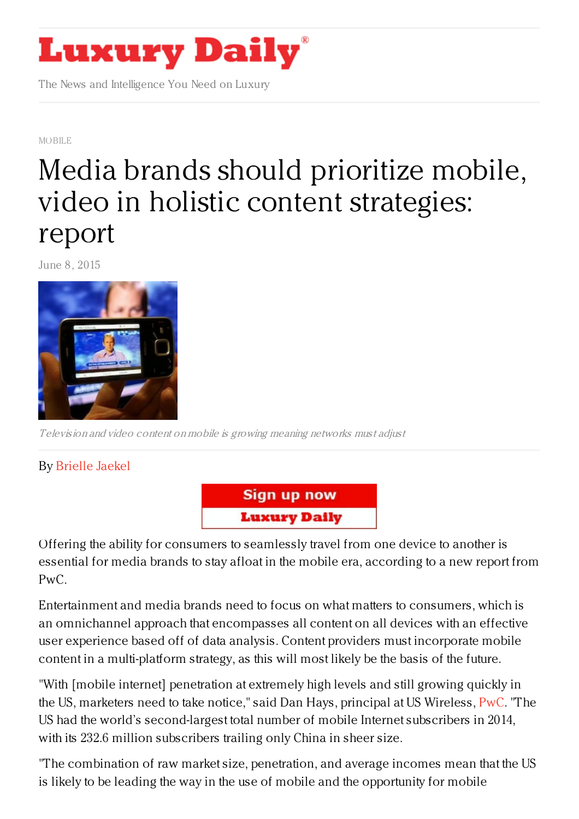

The News and Intelligence You Need on Luxury

[MOBILE](https://www.luxurydaily.com/category/news/mobile-news/)

# Media brands should prioritize mobile, video in holistic content [strategies:](https://www.luxurydaily.com/139206/) report

June 8, 2015



Television and video content on mobile is growing meaning networks must adjust

By [Brielle](http://www.mobilemarketer.com/cms/authors/44.html) Jaekel



Offering the ability for consumers to seamlessly travel from one device to another is essential for media brands to stay afloat in the mobile era, according to a new report from PwC.

Entertainment and media brands need to focus on what matters to consumers, which is an omnichannel approach that encompasses all content on all devices with an effective user experience based off of data analysis. Content providers must incorporate mobile content in a multi-platform strategy, as this will most likely be the basis of the future.

"With [mobile internet] penetration at extremely high levels and still growing quickly in the US, marketers need to take notice," said Dan Hays, principal at US Wireless, [PwC](http://www.pwc.com). "The US had the world's second-largest total number of mobile Internet subscribers in 2014, with its 232.6 million subscribers trailing only China in sheer size.

"The combination of raw market size, penetration, and average incomes mean that the US is likely to be leading the way in the use of mobile and the opportunity for mobile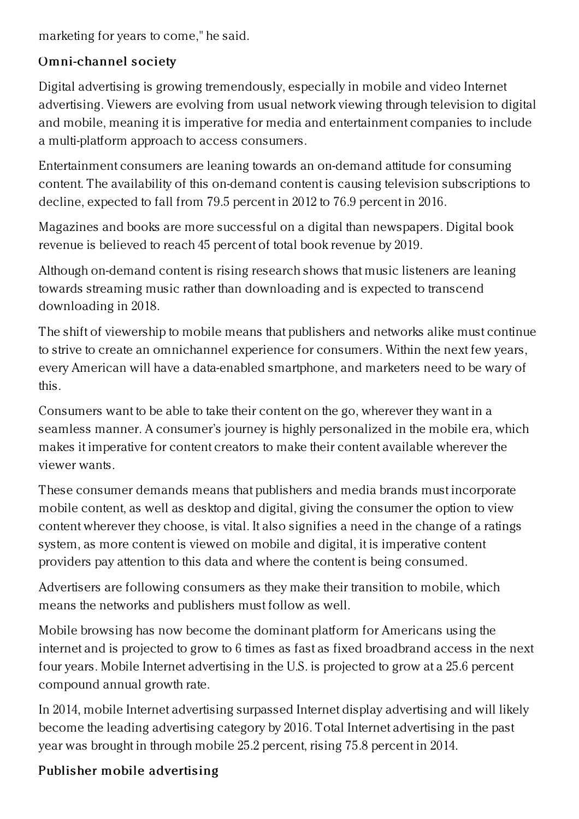marketing for years to come," he said.

## Omni-channel society

Digital advertising is growing tremendously, especially in mobile and video Internet advertising. Viewers are evolving from usual network viewing through television to digital and mobile, meaning it is imperative for media and entertainment companies to include a multi-platform approach to access consumers.

Entertainment consumers are leaning towards an on-demand attitude for consuming content. The availability of this on-demand content is causing television subscriptions to decline, expected to fall from 79.5 percent in 2012 to 76.9 percent in 2016.

Magazines and books are more successful on a digital than newspapers. Digital book revenue is believed to reach 45 percent of total book revenue by 2019.

Although on-demand content is rising research shows that music listeners are leaning towards streaming music rather than downloading and is expected to transcend downloading in 2018.

The shift of viewership to mobile means that publishers and networks alike must continue to strive to create an omnichannel experience for consumers. Within the next few years, every American will have a data-enabled smartphone, and marketers need to be wary of this.

Consumers want to be able to take their content on the go, wherever they want in a seamless manner. A consumer's journey is highly personalized in the mobile era, which makes it imperative for content creators to make their content available wherever the viewer wants.

These consumer demands means that publishers and media brands must incorporate mobile content, as well as desktop and digital, giving the consumer the option to view content wherever they choose, is vital. It also signifies a need in the change of a ratings system, as more content is viewed on mobile and digital, it is imperative content providers pay attention to this data and where the content is being consumed.

Advertisers are following consumers as they make their transition to mobile, which means the networks and publishers must follow as well.

Mobile browsing has now become the dominant platform for Americans using the internet and is projected to grow to 6 times as fast as fixed broadbrand access in the next four years. Mobile Internet advertising in the U.S. is projected to grow at a 25.6 percent compound annual growth rate.

In 2014, mobile Internet advertising surpassed Internet display advertising and will likely become the leading advertising category by 2016. Total Internet advertising in the past year was brought in through mobile 25.2 percent, rising 75.8 percent in 2014.

### Publis her mobile advertising